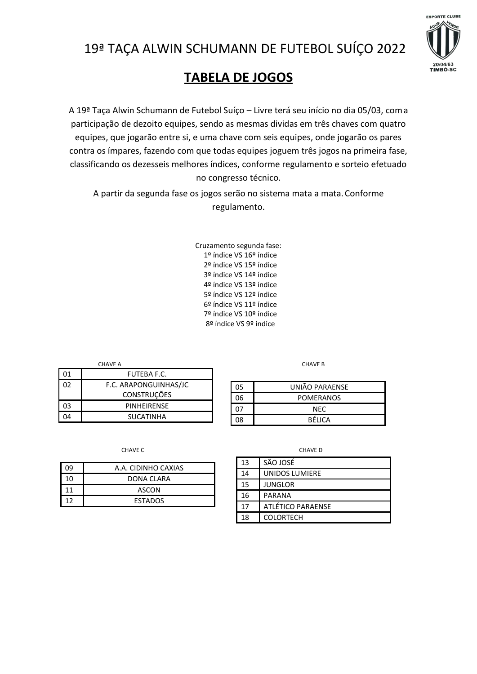



## **TABELA DE JOGOS**

A 19ª Taça Alwin Schumann de Futebol Suíço – Livre terá seu início no dia 05/03, coma participação de dezoito equipes, sendo as mesmas dividas em três chaves com quatro equipes, que jogarão entre si, e uma chave com seis equipes, onde jogarão os pares contra os ímpares, fazendo com que todas equipes joguem três jogos na primeira fase, classificando os dezesseis melhores índices, conforme regulamento e sorteio efetuado no congresso técnico.

A partir da segunda fase os jogos serão no sistema mata a mata.Conforme regulamento.

> Cruzamento segunda fase: 1º índice VS 16º índice 2º índice VS 15º índice 3º índice VS 14º índice 4º índice VS 13º índice 5º índice VS 12º índice 6º índice VS 11º índice 7º índice VS 10º índice 8º índice VS 9º índice

**CHAVE A** CHAVE B

| 01 | <b>FUTEBA F.C.</b>    |
|----|-----------------------|
| 02 | F.C. ARAPONGUINHAS/JC |
|    | <b>CONSTRUÇÕES</b>    |
| 03 | PINHEIRENSE           |
| ١Δ | SUCATINHA             |

CHAVE C **CHAVE C CHAVE D CHAVE D** 

| 0٩ | A.A. CIDINHO CAXIAS |
|----|---------------------|
| 10 | DONA CLARA          |
|    | ASCON               |
|    | <b>ESTADOS</b>      |

05 UNIÃO PARAENSE 06 POMERANOS 07 NEC 08 BÉLICA

| 13 | SÃO JOSÉ          |
|----|-------------------|
| 14 | UNIDOS LUMIERE    |
| 15 | JUNGLOR           |
| 16 | <b>PARANA</b>     |
| 17 | ATLÉTICO PARAENSE |
| 18 | <b>COLORTECH</b>  |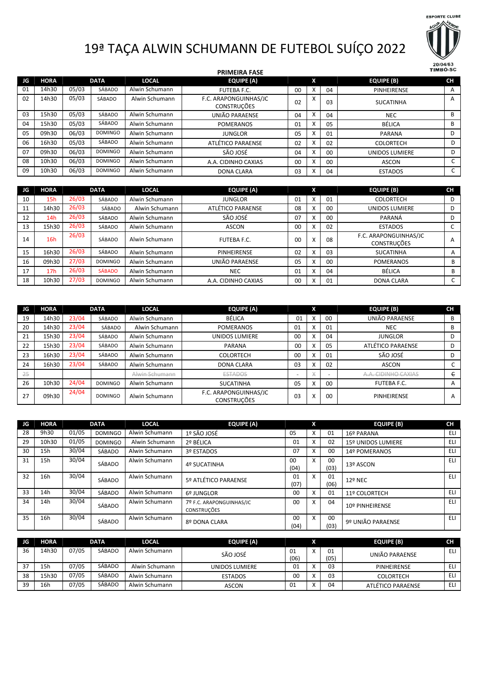

## 19ª TAÇA ALWIN SCHUMANN DE FUTEBOL SUÍÇO 2022

|    |             |       |                |                | <b>PRIMEIRA FASE</b>                        |    |   |        |                       | <b>TIMBÓ-SC</b> |
|----|-------------|-------|----------------|----------------|---------------------------------------------|----|---|--------|-----------------------|-----------------|
| JG | <b>HORA</b> |       | <b>DATA</b>    | <b>LOCAL</b>   | <b>EQUIPE (A)</b>                           |    | X |        | <b>EQUIPE (B)</b>     | <b>CH</b>       |
| 01 | 14h30       | 05/03 | SÁBADO         | Alwin Schumann | FUTEBA F.C.                                 | 00 | X | 04     | PINHEIRENSE           | A               |
| 02 | 14h30       | 05/03 | SÁBADO         | Alwin Schumann | F.C. ARAPONGUINHAS/JC<br><b>CONSTRUÇÕES</b> | 02 | X | 03     | <b>SUCATINHA</b>      | A               |
| 03 | 15h30       | 05/03 | SÁBADO         | Alwin Schumann | UNIÃO PARAENSE                              | 04 | X | 04     | <b>NEC</b>            | В               |
| 04 | 15h30       | 05/03 | SÁBADO         | Alwin Schumann | <b>POMERANOS</b>                            | 01 | X | 05     | <b>BÉLICA</b>         | B               |
| 05 | 09h30       | 06/03 | <b>DOMINGO</b> | Alwin Schumann | <b>JUNGLOR</b>                              | 05 | X | 01     | <b>PARANA</b>         | D               |
| 06 | 16h30       | 05/03 | SÁBADO         | Alwin Schumann | ATLÉTICO PARAENSE                           | 02 | X | 02     | <b>COLORTECH</b>      | D               |
| 07 | 09h30       | 06/03 | <b>DOMINGO</b> | Alwin Schumann | SÃO JOSÉ                                    | 04 | X | 00     | <b>UNIDOS LUMIERE</b> | D               |
| 08 | 10h30       | 06/03 | <b>DOMINGO</b> | Alwin Schumann | A.A. CIDINHO CAXIAS                         | 00 | X | $00\,$ | <b>ASCON</b>          |                 |
| 09 | 10h30       | 06/03 | <b>DOMINGO</b> | Alwin Schumann | <b>DONA CLARA</b>                           | 03 | X | 04     | <b>ESTADOS</b>        | $\sqrt{2}$<br>J |

| JG | <b>HORA</b>     |       | <b>DATA</b>    | <b>LOCAL</b>   | EQUIPE (A)          |    | X                         |         | EQUIPE (B)                                  | <b>CH</b> |
|----|-----------------|-------|----------------|----------------|---------------------|----|---------------------------|---------|---------------------------------------------|-----------|
| 10 | 15h             | 26/03 | SÁBADO         | Alwin Schumann | <b>JUNGLOR</b>      | 01 | X                         | 01      | <b>COLORTECH</b>                            | D         |
| 11 | 14h30           | 26/03 | SÁBADO         | Alwin Schumann | ATLÉTICO PARAENSE   | 08 | x                         | $00 \,$ | <b>UNIDOS LUMIERE</b>                       | D         |
| 12 | 14h             | 26/03 | SÁBADO         | Alwin Schumann | SÃO JOSÉ            | 07 | $\checkmark$<br>$\lambda$ | $00\,$  | PARANÁ                                      | D         |
| 13 | 15h30           | 26/03 | SÁBADO         | Alwin Schumann | ASCON               | 00 | $\mathbf{v}$<br>v         | 02      | <b>ESTADOS</b>                              |           |
| 14 | 16h             | 26/03 | SÁBADO         | Alwin Schumann | <b>FUTEBA F.C.</b>  | 00 | x                         | 08      | F.C. ARAPONGUINHAS/JC<br><b>CONSTRUÇÕES</b> | A         |
| 15 | 16h30           | 26/03 | SÁBADO         | Alwin Schumann | <b>PINHEIRENSE</b>  | 02 | x                         | 03      | <b>SUCATINHA</b>                            | A         |
| 16 | 09h30           | 27/03 | <b>DOMINGO</b> | Alwin Schumann | UNIÃO PARAENSE      | 05 | X                         | $00\,$  | <b>POMERANOS</b>                            | B         |
| 17 | 17 <sub>h</sub> | 26/03 | <b>SÁBADO</b>  | Alwin Schumann | <b>NEC</b>          | 01 | X                         | 04      | <b>BÉLICA</b>                               | B         |
| 18 | 10h30           | 27/03 | <b>DOMINGO</b> | Alwin Schumann | A.A. CIDINHO CAXIAS | 00 | X                         | 01      | <b>DONA CLARA</b>                           |           |

| JG | <b>HORA</b> |       | <b>DATA</b>    | <b>LOCAL</b>   | <b>EQUIPE (A)</b>                           |            | X                    |    | <b>EQUIPE (B)</b>   | <b>CH</b> |
|----|-------------|-------|----------------|----------------|---------------------------------------------|------------|----------------------|----|---------------------|-----------|
| 19 | 14h30       | 23/04 | SÁBADO         | Alwin Schumann | <b>BÉLICA</b>                               | 01         | X                    | 00 | UNIÃO PARAENSE      | В         |
| 20 | 14h30       | 23/04 | SÁBADO         | Alwin Schumann | <b>POMERANOS</b>                            | 01         | X                    | 01 | <b>NEC</b>          | В         |
| 21 | 15h30       | 23/04 | SÁBADO         | Alwin Schumann | <b>UNIDOS LUMIERE</b>                       | 00         | X                    | 04 | <b>JUNGLOR</b>      |           |
| 22 | 15h30       | 23/04 | SÁBADO         | Alwin Schumann | PARANA                                      | 00         | X                    | 05 | ATLÉTICO PARAENSE   |           |
| 23 | 16h30       | 23/04 | SÁBADO         | Alwin Schumann | <b>COLORTECH</b>                            | 00         | X                    | 01 | SÃO JOSÉ            |           |
| 24 | 16h30       | 23/04 | SÁBADO         | Alwin Schumann | <b>DONA CLARA</b>                           | 03         | X                    | 02 | <b>ASCON</b>        | ◡         |
| 25 |             |       |                | Alwin Schumann | <b>ESTADOS</b>                              | <b>COL</b> | $\frac{1}{\sqrt{2}}$ |    | A.A. CIDINHO CAXIAS | e         |
| 26 | 10h30       | 24/04 | <b>DOMINGO</b> | Alwin Schumann | <b>SUCATINHA</b>                            | 05         | X                    | 00 | FUTEBA F.C.         | A         |
| 27 | 09h30       | 24/04 | <b>DOMINGO</b> | Alwin Schumann | F.C. ARAPONGUINHAS/JC<br><b>CONSTRUÇÕES</b> | 03         | X                    | 00 | PINHEIRENSE         | A         |

| JG. | <b>HORA</b> |       | <b>DATA</b>    | <b>LOCAL</b>   | <b>EQUIPE (A)</b>                              |            | X                         |            | <b>EQUIPE (B)</b>  | <b>CH</b>  |
|-----|-------------|-------|----------------|----------------|------------------------------------------------|------------|---------------------------|------------|--------------------|------------|
| 28  | 9h30        | 01/05 | <b>DOMINGO</b> | Alwin Schumann | 1º SÃO JOSÉ                                    | 05         | X                         | 01         | 16º PARANA         | ELI        |
| 29  | 10h30       | 01/05 | <b>DOMINGO</b> | Alwin Schumann | 2º BÉLICA                                      | 01         | $\checkmark$<br>$\lambda$ | 02         | 15º UNIDOS LUMIERE | <b>ELI</b> |
| 30  | 15h         | 30/04 | SÁBADO         | Alwin Schumann | 3º ESTADOS                                     | 07         | $\lambda$                 | 00         | 14º POMERANOS      | <b>ELI</b> |
| 31  | 15h         | 30/04 | SÁBADO         | Alwin Schumann | 4º SUCATINHA                                   | 00<br>(04) | X                         | 00<br>(03) | 13º ASCON          | ELI        |
| 32  | 16h         | 30/04 | SÁBADO         | Alwin Schumann | 5º ATLÉTICO PARAENSE                           | 01<br>(07) | X                         | 01<br>(06) | 12º NEC            | <b>ELI</b> |
| 33  | 14h         | 30/04 | SÁBADO         | Alwin Schumann | 6º JUNGLOR                                     | 00         | $\lambda$                 | 01         | 11º COLORTECH      | <b>ELI</b> |
| 34  | 14h         | 30/04 | SÁBADO         | Alwin Schumann | 7º F.C. ARAPONGUINHAS/JC<br><b>CONSTRUÇÕES</b> | 00         | X                         | 04         | 10º PINHEIRENSE    | ELI.       |
| 35  | 16h         | 30/04 | SÁBADO         | Alwin Schumann | 8º DONA CLARA                                  | 00<br>(04) | X                         | 00<br>(03) | 9º UNIÃO PARAENSE  | ELI.       |

| JG | HORA  |       | <b>DATA</b> | <b>LOCAL</b>   | <b>EQUIPE (A)</b> |            |                              |            | <b>EQUIPE (B)</b> | <b>CH</b> |
|----|-------|-------|-------------|----------------|-------------------|------------|------------------------------|------------|-------------------|-----------|
| 36 | 14h30 | 07/05 | SÁBADO      | Alwin Schumann | SÃO JOSÉ          | 01<br>(06) | $\checkmark$<br>$\mathbf{v}$ | 01<br>(05) | UNIÃO PARAENSE    | ELI       |
|    |       |       |             |                |                   |            |                              |            |                   |           |
| 37 | 15h   | 07/05 | SÁBADO      | Alwin Schumann | UNIDOS LUMIERE    | 01         | $\mathbf{v}$                 | 03         | PINHEIRENSE       | ELI       |
| 38 | 15h30 | 07/05 | SÁBADO      | Alwin Schumann | <b>ESTADOS</b>    | 00         | $\mathbf{v}$                 | 03         | <b>COLORTECH</b>  | ELI       |
| 39 | 16h   | 07/05 | SÁBADO      | Alwin Schumann | <b>ASCON</b>      | 01         | $\lambda$                    | 04         | ATLÉTICO PARAENSE | ELI       |